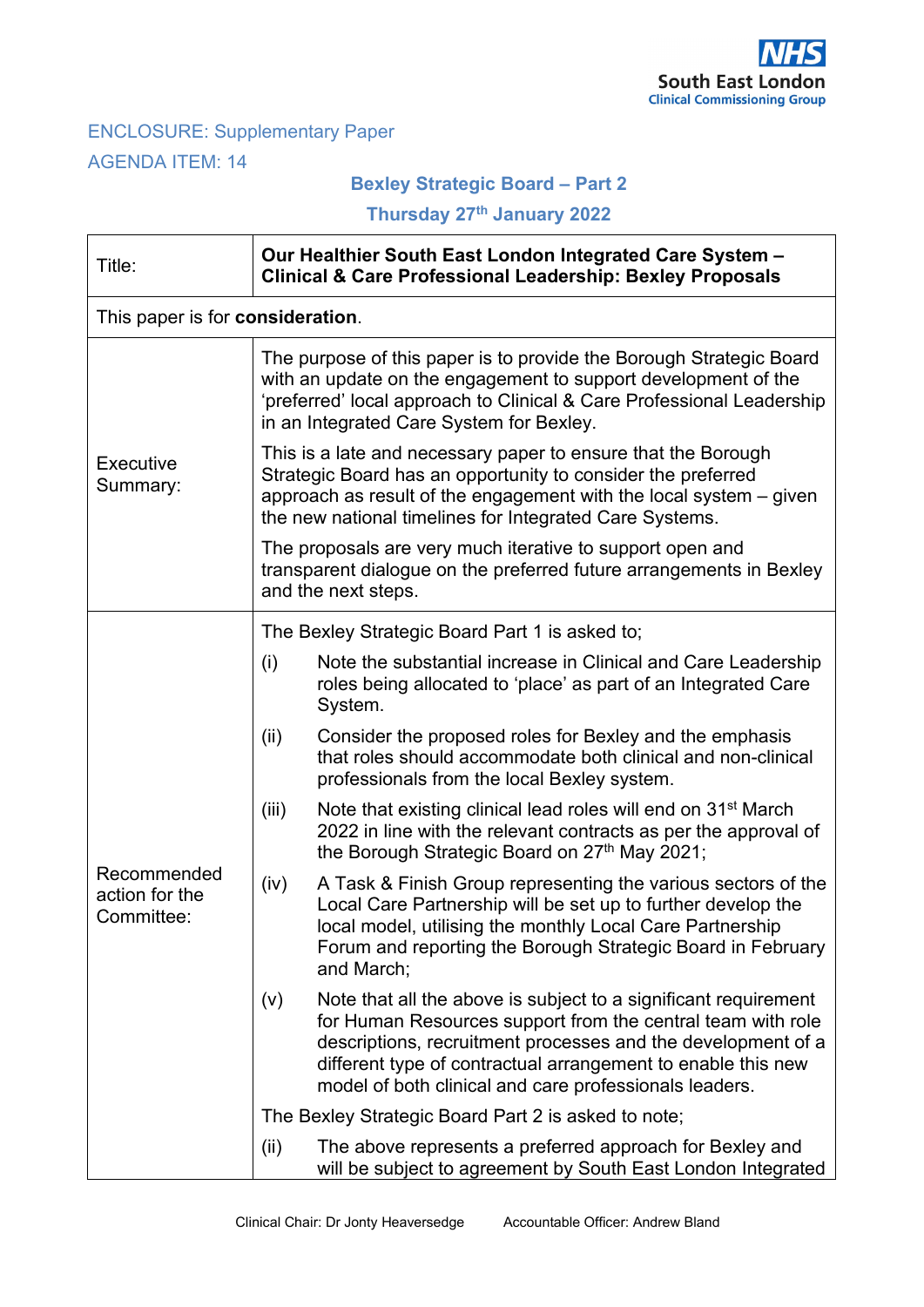

# ENCLOSURE: Supplementary Paper AGENDA ITEM: 14

'n

## **Bexley Strategic Board – Part 2**

**Thursday 27th January 2022**

| Title:                                      | Our Healthier South East London Integrated Care System -<br><b>Clinical &amp; Care Professional Leadership: Bexley Proposals</b>                                                                                                                               |                                                                                                                                                                                                                                                                                                                          |  |
|---------------------------------------------|----------------------------------------------------------------------------------------------------------------------------------------------------------------------------------------------------------------------------------------------------------------|--------------------------------------------------------------------------------------------------------------------------------------------------------------------------------------------------------------------------------------------------------------------------------------------------------------------------|--|
| This paper is for consideration.            |                                                                                                                                                                                                                                                                |                                                                                                                                                                                                                                                                                                                          |  |
|                                             | The purpose of this paper is to provide the Borough Strategic Board<br>with an update on the engagement to support development of the<br>'preferred' local approach to Clinical & Care Professional Leadership<br>in an Integrated Care System for Bexley.     |                                                                                                                                                                                                                                                                                                                          |  |
| Executive<br>Summary:                       | This is a late and necessary paper to ensure that the Borough<br>Strategic Board has an opportunity to consider the preferred<br>approach as result of the engagement with the local system – given<br>the new national timelines for Integrated Care Systems. |                                                                                                                                                                                                                                                                                                                          |  |
|                                             | The proposals are very much iterative to support open and<br>transparent dialogue on the preferred future arrangements in Bexley<br>and the next steps.                                                                                                        |                                                                                                                                                                                                                                                                                                                          |  |
|                                             | The Bexley Strategic Board Part 1 is asked to;                                                                                                                                                                                                                 |                                                                                                                                                                                                                                                                                                                          |  |
| Recommended<br>action for the<br>Committee: | (i)                                                                                                                                                                                                                                                            | Note the substantial increase in Clinical and Care Leadership<br>roles being allocated to 'place' as part of an Integrated Care<br>System.                                                                                                                                                                               |  |
|                                             | (ii)                                                                                                                                                                                                                                                           | Consider the proposed roles for Bexley and the emphasis<br>that roles should accommodate both clinical and non-clinical<br>professionals from the local Bexley system.                                                                                                                                                   |  |
|                                             | (iii)                                                                                                                                                                                                                                                          | Note that existing clinical lead roles will end on 31 <sup>st</sup> March<br>2022 in line with the relevant contracts as per the approval of<br>the Borough Strategic Board on 27th May 2021;                                                                                                                            |  |
|                                             | (iv)                                                                                                                                                                                                                                                           | A Task & Finish Group representing the various sectors of the<br>Local Care Partnership will be set up to further develop the<br>local model, utilising the monthly Local Care Partnership<br>Forum and reporting the Borough Strategic Board in February<br>and March:                                                  |  |
|                                             | (V)                                                                                                                                                                                                                                                            | Note that all the above is subject to a significant requirement<br>for Human Resources support from the central team with role<br>descriptions, recruitment processes and the development of a<br>different type of contractual arrangement to enable this new<br>model of both clinical and care professionals leaders. |  |
|                                             |                                                                                                                                                                                                                                                                | The Bexley Strategic Board Part 2 is asked to note;                                                                                                                                                                                                                                                                      |  |
|                                             | (iii)                                                                                                                                                                                                                                                          | The above represents a preferred approach for Bexley and<br>will be subject to agreement by South East London Integrated                                                                                                                                                                                                 |  |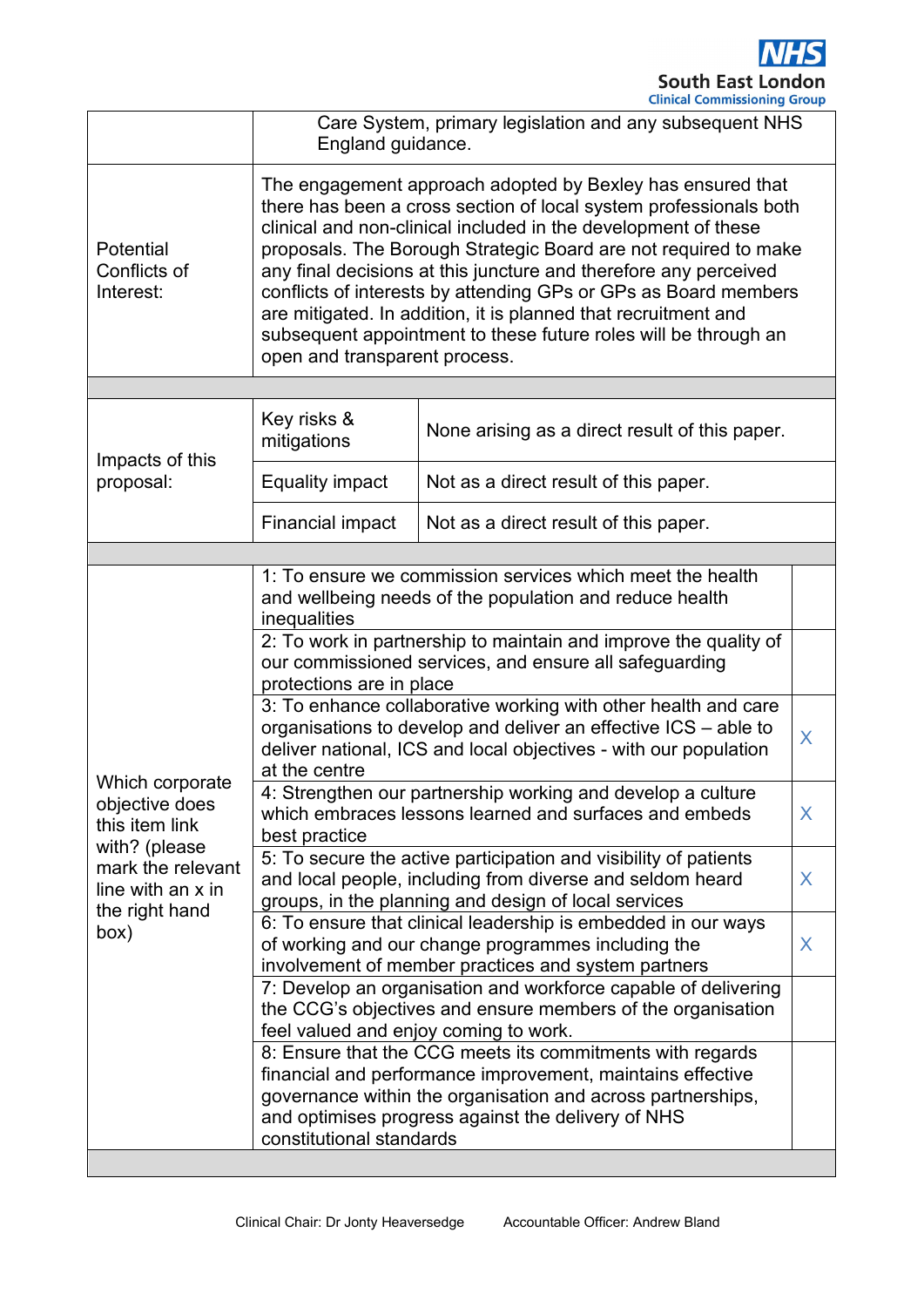

|                                                                                                                                          | Care System, primary legislation and any subsequent NHS<br>England guidance.                                                                                                                                                                                                                                                                                                                                                                                                                                                                                                      |                                       |  |  |
|------------------------------------------------------------------------------------------------------------------------------------------|-----------------------------------------------------------------------------------------------------------------------------------------------------------------------------------------------------------------------------------------------------------------------------------------------------------------------------------------------------------------------------------------------------------------------------------------------------------------------------------------------------------------------------------------------------------------------------------|---------------------------------------|--|--|
| Potential<br>Conflicts of<br>Interest:                                                                                                   | The engagement approach adopted by Bexley has ensured that<br>there has been a cross section of local system professionals both<br>clinical and non-clinical included in the development of these<br>proposals. The Borough Strategic Board are not required to make<br>any final decisions at this juncture and therefore any perceived<br>conflicts of interests by attending GPs or GPs as Board members<br>are mitigated. In addition, it is planned that recruitment and<br>subsequent appointment to these future roles will be through an<br>open and transparent process. |                                       |  |  |
|                                                                                                                                          |                                                                                                                                                                                                                                                                                                                                                                                                                                                                                                                                                                                   |                                       |  |  |
| Impacts of this<br>proposal:                                                                                                             | Key risks &<br>None arising as a direct result of this paper.<br>mitigations                                                                                                                                                                                                                                                                                                                                                                                                                                                                                                      |                                       |  |  |
|                                                                                                                                          | <b>Equality impact</b>                                                                                                                                                                                                                                                                                                                                                                                                                                                                                                                                                            | Not as a direct result of this paper. |  |  |
|                                                                                                                                          | <b>Financial impact</b>                                                                                                                                                                                                                                                                                                                                                                                                                                                                                                                                                           | Not as a direct result of this paper. |  |  |
|                                                                                                                                          |                                                                                                                                                                                                                                                                                                                                                                                                                                                                                                                                                                                   |                                       |  |  |
| Which corporate<br>objective does<br>this item link<br>with? (please<br>mark the relevant<br>line with an x in<br>the right hand<br>(box | 1: To ensure we commission services which meet the health<br>and wellbeing needs of the population and reduce health<br>inequalities                                                                                                                                                                                                                                                                                                                                                                                                                                              |                                       |  |  |
|                                                                                                                                          | 2: To work in partnership to maintain and improve the quality of<br>our commissioned services, and ensure all safeguarding<br>protections are in place                                                                                                                                                                                                                                                                                                                                                                                                                            |                                       |  |  |
|                                                                                                                                          | 3: To enhance collaborative working with other health and care<br>organisations to develop and deliver an effective ICS - able to<br>X<br>deliver national, ICS and local objectives - with our population<br>at the centre                                                                                                                                                                                                                                                                                                                                                       |                                       |  |  |
|                                                                                                                                          | 4: Strengthen our partnership working and develop a culture<br>which embraces lessons learned and surfaces and embeds<br>X<br>best practice                                                                                                                                                                                                                                                                                                                                                                                                                                       |                                       |  |  |
|                                                                                                                                          | 5: To secure the active participation and visibility of patients<br>and local people, including from diverse and seldom heard<br>X<br>groups, in the planning and design of local services                                                                                                                                                                                                                                                                                                                                                                                        |                                       |  |  |
|                                                                                                                                          | 6: To ensure that clinical leadership is embedded in our ways<br>of working and our change programmes including the<br>X<br>involvement of member practices and system partners                                                                                                                                                                                                                                                                                                                                                                                                   |                                       |  |  |
|                                                                                                                                          | 7: Develop an organisation and workforce capable of delivering<br>the CCG's objectives and ensure members of the organisation<br>feel valued and enjoy coming to work.                                                                                                                                                                                                                                                                                                                                                                                                            |                                       |  |  |
|                                                                                                                                          | 8: Ensure that the CCG meets its commitments with regards<br>financial and performance improvement, maintains effective<br>governance within the organisation and across partnerships,<br>and optimises progress against the delivery of NHS<br>constitutional standards                                                                                                                                                                                                                                                                                                          |                                       |  |  |
|                                                                                                                                          |                                                                                                                                                                                                                                                                                                                                                                                                                                                                                                                                                                                   |                                       |  |  |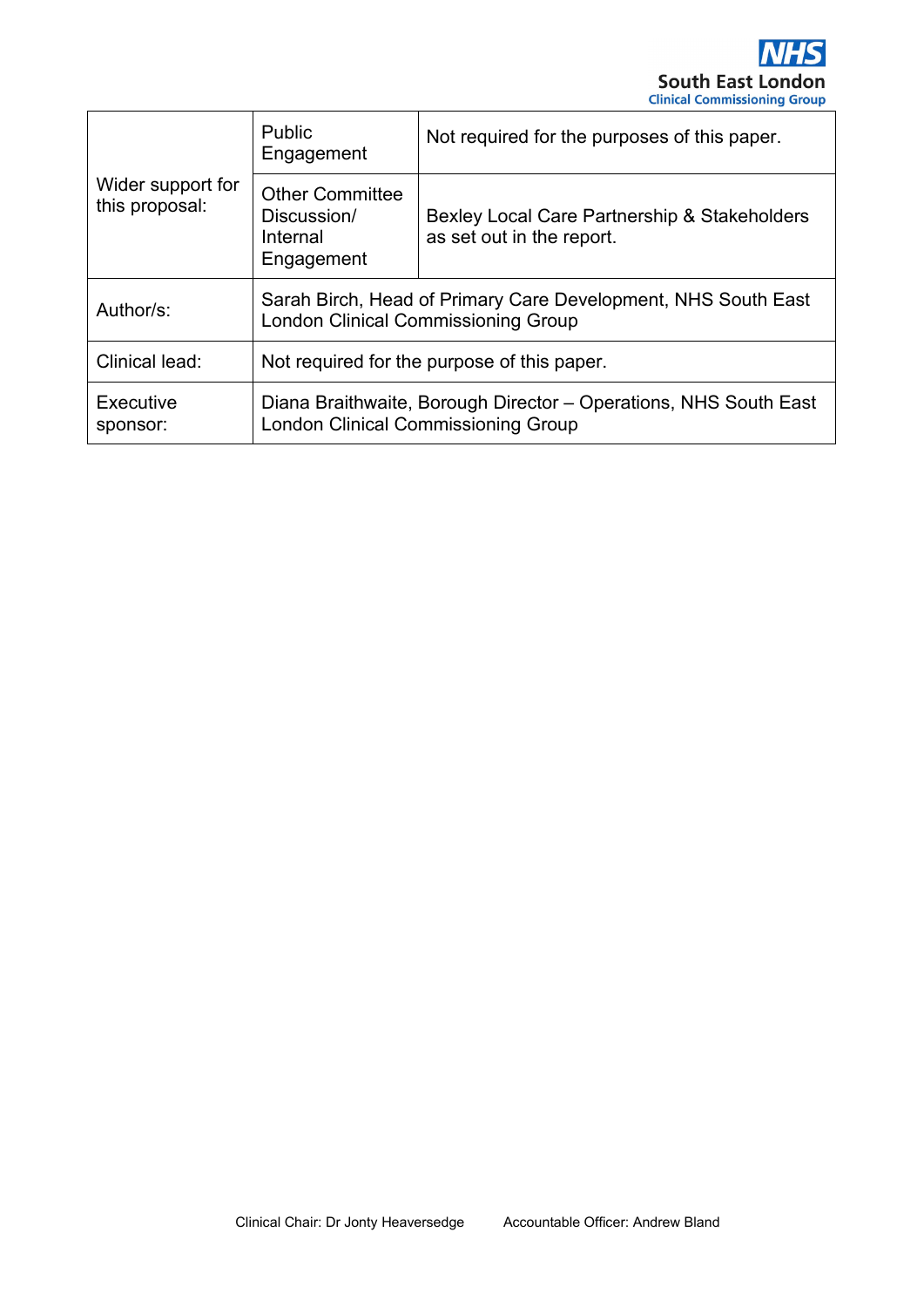

| Wider support for<br>this proposal: | <b>Public</b><br>Engagement                                                                                    | Not required for the purposes of this paper.                              |  |
|-------------------------------------|----------------------------------------------------------------------------------------------------------------|---------------------------------------------------------------------------|--|
|                                     | <b>Other Committee</b><br>Discussion/<br>Internal<br>Engagement                                                | Bexley Local Care Partnership & Stakeholders<br>as set out in the report. |  |
| Author/s:                           | Sarah Birch, Head of Primary Care Development, NHS South East<br><b>London Clinical Commissioning Group</b>    |                                                                           |  |
| Clinical lead:                      | Not required for the purpose of this paper.                                                                    |                                                                           |  |
| Executive<br>sponsor:               | Diana Braithwaite, Borough Director - Operations, NHS South East<br><b>London Clinical Commissioning Group</b> |                                                                           |  |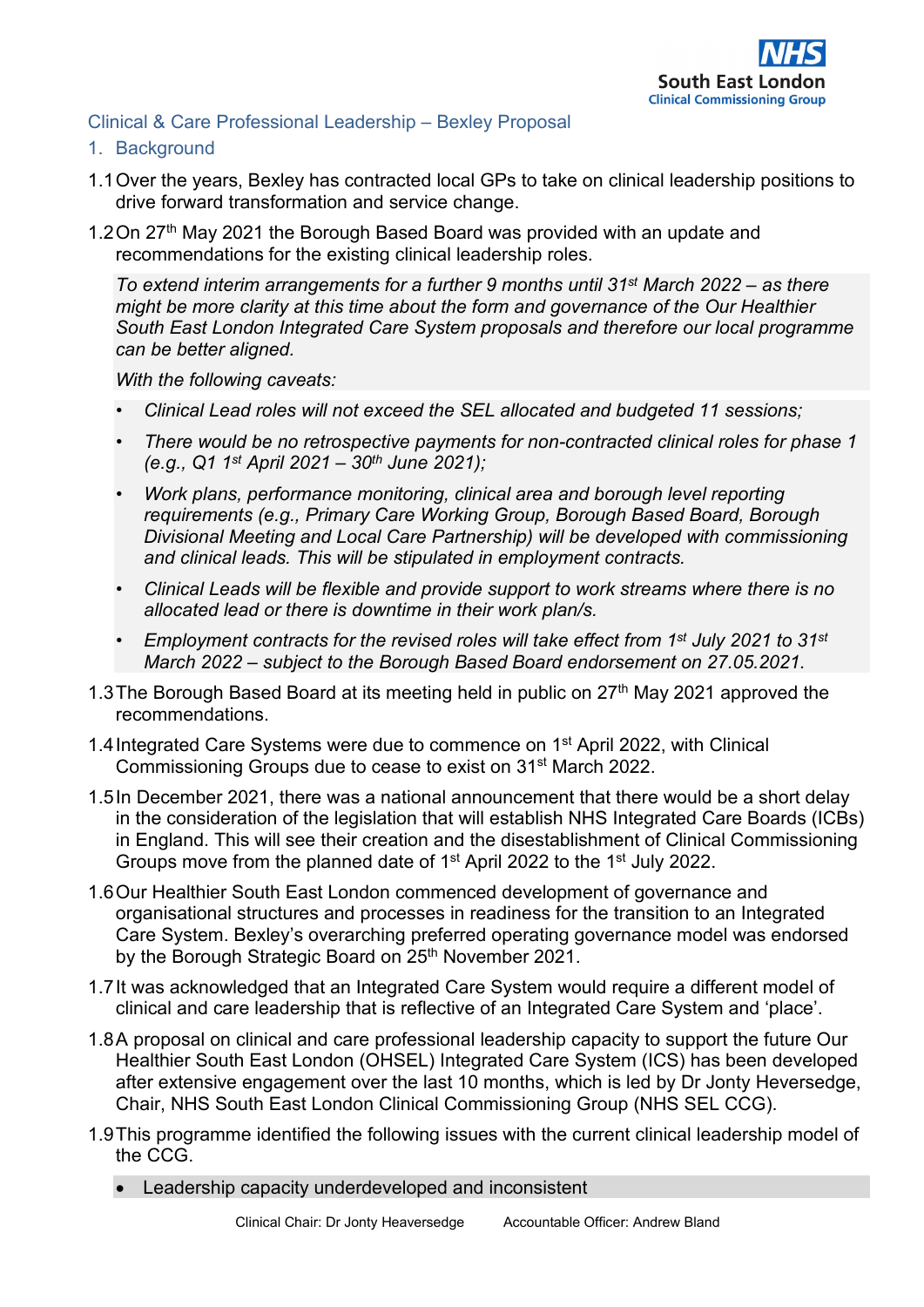

#### Clinical & Care Professional Leadership – Bexley Proposal

- 1. Background
- 1.1Over the years, Bexley has contracted local GPs to take on clinical leadership positions to drive forward transformation and service change.
- 1.2 On 27<sup>th</sup> May 2021 the Borough Based Board was provided with an update and recommendations for the existing clinical leadership roles.

*To extend interim arrangements for a further 9 months until 31st March 2022 – as there might be more clarity at this time about the form and governance of the Our Healthier South East London Integrated Care System proposals and therefore our local programme can be better aligned.* 

*With the following caveats:* 

- *Clinical Lead roles will not exceed the SEL allocated and budgeted 11 sessions;*
- *There would be no retrospective payments for non-contracted clinical roles for phase 1 (e.g., Q1 1st April 2021 – 30th June 2021);*
- *Work plans, performance monitoring, clinical area and borough level reporting requirements (e.g., Primary Care Working Group, Borough Based Board, Borough Divisional Meeting and Local Care Partnership) will be developed with commissioning and clinical leads. This will be stipulated in employment contracts.*
- *Clinical Leads will be flexible and provide support to work streams where there is no allocated lead or there is downtime in their work plan/s.*
- *Employment contracts for the revised roles will take effect from 1st July 2021 to 31st March 2022 – subject to the Borough Based Board endorsement on 27.05.2021.*
- 1.3 The Borough Based Board at its meeting held in public on  $27<sup>th</sup>$  May 2021 approved the recommendations.
- 1.4Integrated Care Systems were due to commence on 1st April 2022, with Clinical Commissioning Groups due to cease to exist on 31st March 2022.
- 1.5In December 2021, there was a national announcement that there would be a short delay in the consideration of the legislation that will establish NHS Integrated Care Boards (ICBs) in England. This will see their creation and the disestablishment of Clinical Commissioning Groups move from the planned date of 1st April 2022 to the 1st July 2022.
- 1.6Our Healthier South East London commenced development of governance and organisational structures and processes in readiness for the transition to an Integrated Care System. Bexley's overarching preferred operating governance model was endorsed by the Borough Strategic Board on 25<sup>th</sup> November 2021.
- 1.7It was acknowledged that an Integrated Care System would require a different model of clinical and care leadership that is reflective of an Integrated Care System and 'place'.
- 1.8A proposal on clinical and care professional leadership capacity to support the future Our Healthier South East London (OHSEL) Integrated Care System (ICS) has been developed after extensive engagement over the last 10 months, which is led by Dr Jonty Heversedge, Chair, NHS South East London Clinical Commissioning Group (NHS SEL CCG).
- 1.9This programme identified the following issues with the current clinical leadership model of the CCG.
	- Leadership capacity underdeveloped and inconsistent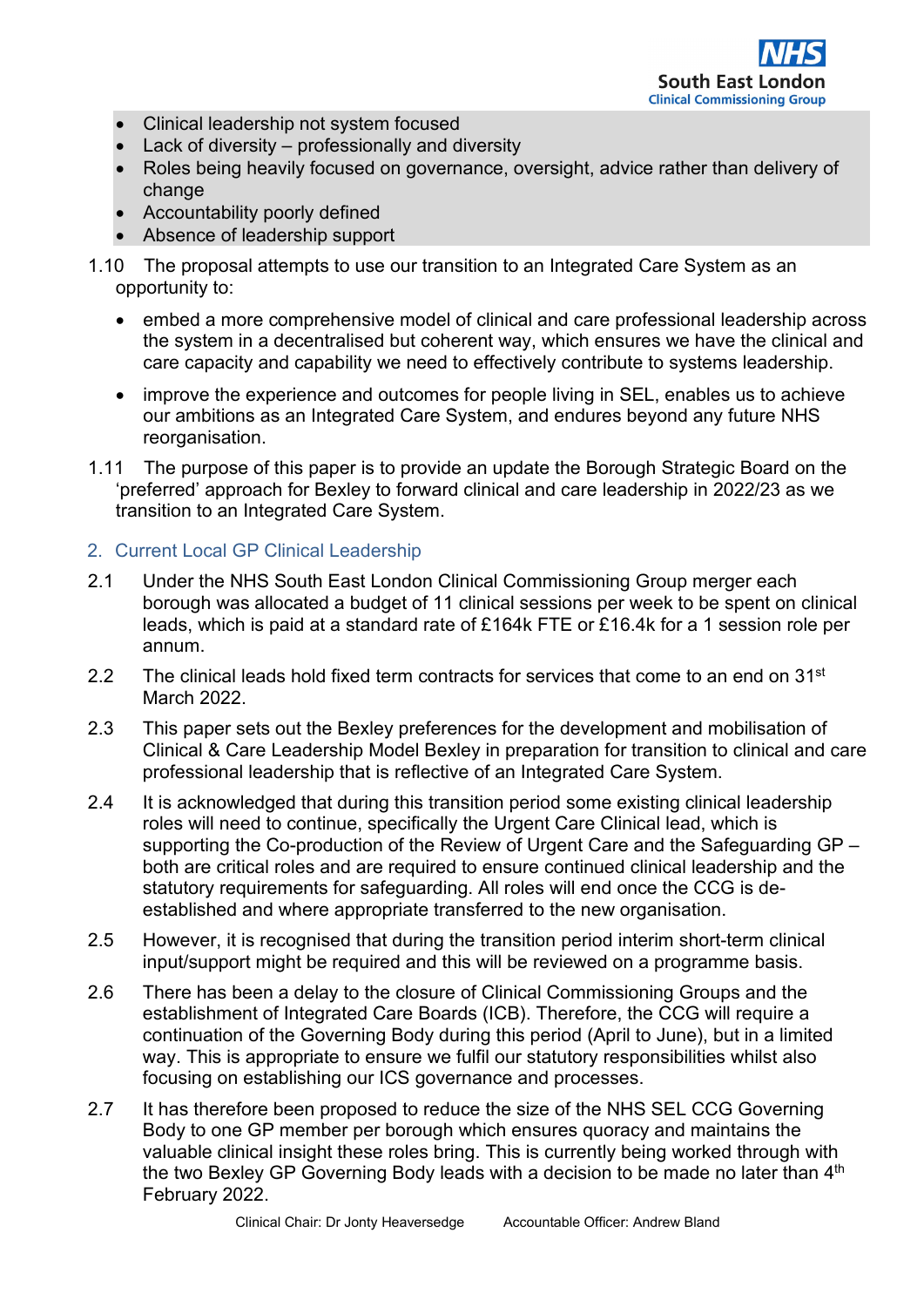

- Clinical leadership not system focused
- Lack of diversity professionally and diversity
- Roles being heavily focused on governance, oversight, advice rather than delivery of change
- Accountability poorly defined
- Absence of leadership support
- 1.10 The proposal attempts to use our transition to an Integrated Care System as an opportunity to:
	- embed a more comprehensive model of clinical and care professional leadership across the system in a decentralised but coherent way, which ensures we have the clinical and care capacity and capability we need to effectively contribute to systems leadership.
	- improve the experience and outcomes for people living in SEL, enables us to achieve our ambitions as an Integrated Care System, and endures beyond any future NHS reorganisation.
- 1.11 The purpose of this paper is to provide an update the Borough Strategic Board on the 'preferred' approach for Bexley to forward clinical and care leadership in 2022/23 as we transition to an Integrated Care System.

## 2. Current Local GP Clinical Leadership

- 2.1 Under the NHS South East London Clinical Commissioning Group merger each borough was allocated a budget of 11 clinical sessions per week to be spent on clinical leads, which is paid at a standard rate of £164k FTE or £16.4k for a 1 session role per annum.
- 2.2 The clinical leads hold fixed term contracts for services that come to an end on  $31<sup>st</sup>$ March 2022.
- 2.3 This paper sets out the Bexley preferences for the development and mobilisation of Clinical & Care Leadership Model Bexley in preparation for transition to clinical and care professional leadership that is reflective of an Integrated Care System.
- 2.4 It is acknowledged that during this transition period some existing clinical leadership roles will need to continue, specifically the Urgent Care Clinical lead, which is supporting the Co-production of the Review of Urgent Care and the Safeguarding GP – both are critical roles and are required to ensure continued clinical leadership and the statutory requirements for safeguarding. All roles will end once the CCG is deestablished and where appropriate transferred to the new organisation.
- 2.5 However, it is recognised that during the transition period interim short-term clinical input/support might be required and this will be reviewed on a programme basis.
- 2.6 There has been a delay to the closure of Clinical Commissioning Groups and the establishment of Integrated Care Boards (ICB). Therefore, the CCG will require a continuation of the Governing Body during this period (April to June), but in a limited way. This is appropriate to ensure we fulfil our statutory responsibilities whilst also focusing on establishing our ICS governance and processes.
- 2.7 It has therefore been proposed to reduce the size of the NHS SEL CCG Governing Body to one GP member per borough which ensures quoracy and maintains the valuable clinical insight these roles bring. This is currently being worked through with the two Bexley GP Governing Body leads with a decision to be made no later than 4<sup>th</sup> February 2022.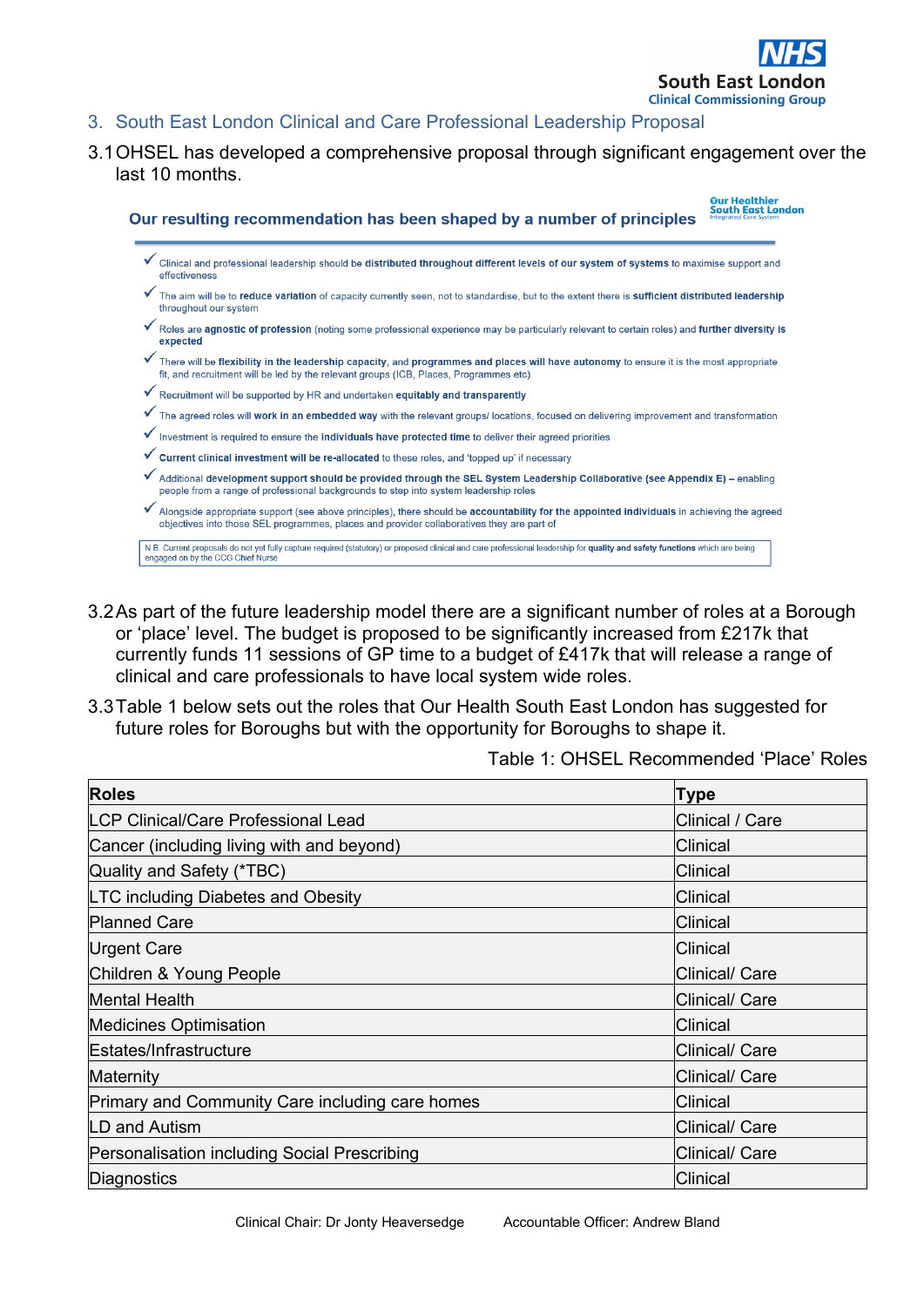

- 3. South East London Clinical and Care Professional Leadership Proposal
- 3.1OHSEL has developed a comprehensive proposal through significant engagement over the last 10 months.

.<br>Our Healthier<br>South East London Our resulting recommendation has been shaped by a number of principles Clinical and professional leadership should be distributed throughout different levels of our system of systems to maximise support and .<br>Affectiveness The aim will be to reduce variation of capacity currently seen, not to standardise, but to the extent there is sufficient distributed leadership throughout our system Roles are agnostic of profession (noting some professional experience may be particularly relevant to certain roles) and further diversity is expected There will be flexibility in the leadership capacity, and programmes and places will have autonomy to ensure it is the most appropriate fit, and recruitment will be led by the relevant groups (ICB, Places, Programmes etc) ✔ Recruitment will be supported by HR and undertaken equitably and transparently  $\checkmark$  The agreed roles will **work in an embedded way** with the relevant groups/ locations, focused on delivering improvement and transformation  $\checkmark$  Investment is required to ensure the individuals have protected time to deliver their agreed priorities ✔ Current clinical investment will be re-allocated to these roles, and 'topped up' if necessary Additional development support should be provided through the SEL System Leadership Collaborative (see Appendix E) - enabling people from a range of professional backgrounds to step into system leadership roles Alongside appropriate support (see above principles), there should be accountability for the appointed individuals in achieving the agreed objectives into those SEL programmes, places and provider collaboratives they are part of N.B. Current proposals do not yet fully capture required (statutory) or proposed clinical and care professional leadership for quality and safety functions which are being<br>engaged on by the CCG Chief Nurse

- 3.2As part of the future leadership model there are a significant number of roles at a Borough or 'place' level. The budget is proposed to be significantly increased from £217k that currently funds 11 sessions of GP time to a budget of £417k that will release a range of clinical and care professionals to have local system wide roles.
- 3.3Table 1 below sets out the roles that Our Health South East London has suggested for future roles for Boroughs but with the opportunity for Boroughs to shape it.

Table 1: OHSEL Recommended 'Place' Roles

| <b>Roles</b>                                    | <b>Type</b>     |
|-------------------------------------------------|-----------------|
| <b>LCP Clinical/Care Professional Lead</b>      | Clinical / Care |
| Cancer (including living with and beyond)       | Clinical        |
| Quality and Safety (*TBC)                       | Clinical        |
| <b>LTC including Diabetes and Obesity</b>       | Clinical        |
| <b>Planned Care</b>                             | <b>Clinical</b> |
| Urgent Care                                     | <b>Clinical</b> |
| Children & Young People                         | Clinical/ Care  |
| <b>Mental Health</b>                            | Clinical/ Care  |
| <b>Medicines Optimisation</b>                   | <b>Clinical</b> |
| Estates/Infrastructure                          | Clinical/ Care  |
| Maternity                                       | Clinical/ Care  |
| Primary and Community Care including care homes | <b>Clinical</b> |
| LD and Autism                                   | Clinical/ Care  |
| Personalisation including Social Prescribing    | Clinical/ Care  |
| Diagnostics                                     | Clinical        |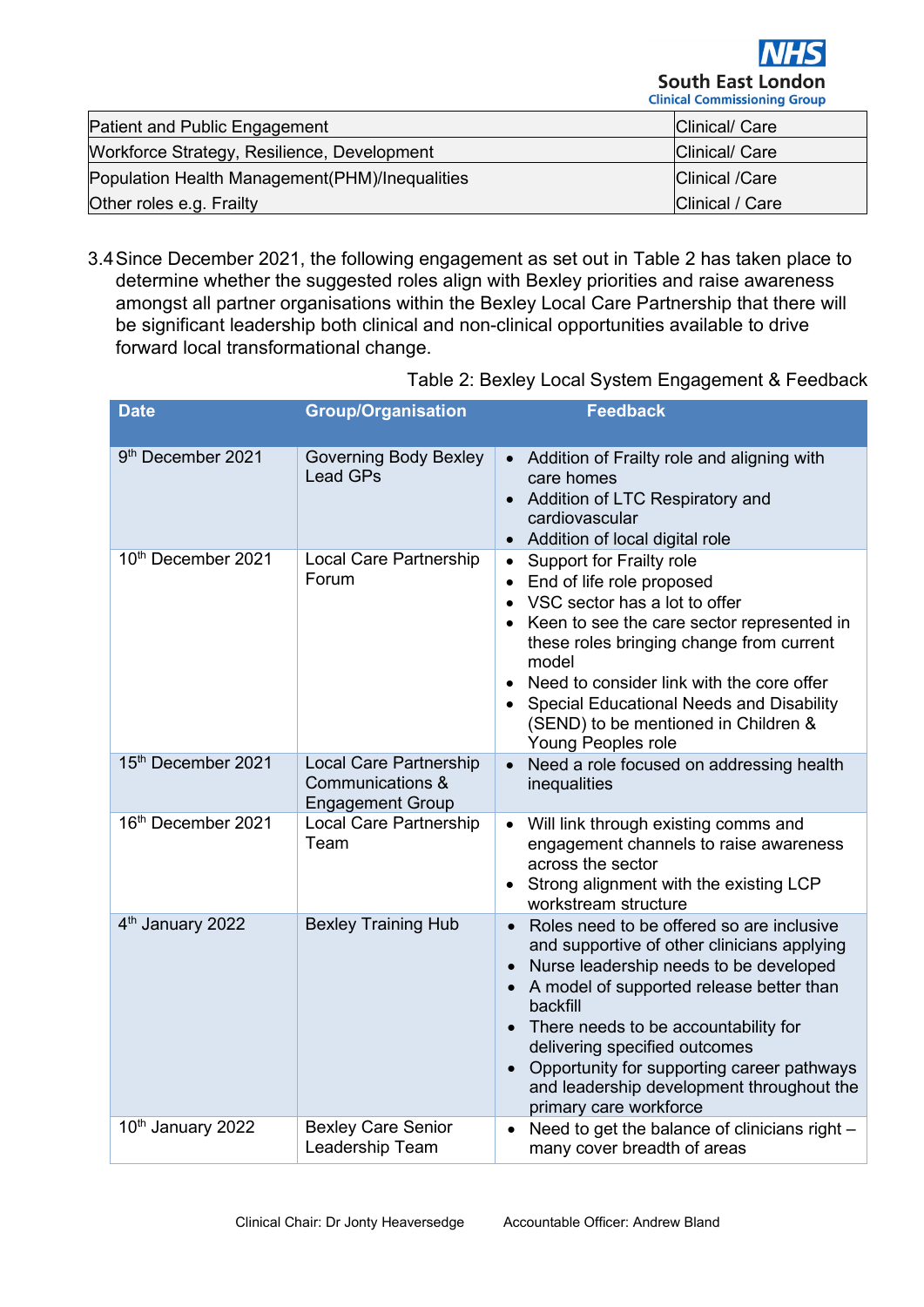

| <b>Patient and Public Engagement</b>           | Clinical/ Care        |
|------------------------------------------------|-----------------------|
| Workforce Strategy, Resilience, Development    | Clinical/ Care        |
| Population Health Management(PHM)/Inequalities | <b>Clinical /Care</b> |
| Other roles e.g. Frailty                       | Clinical / Care       |

3.4Since December 2021, the following engagement as set out in Table 2 has taken place to determine whether the suggested roles align with Bexley priorities and raise awareness amongst all partner organisations within the Bexley Local Care Partnership that there will be significant leadership both clinical and non-clinical opportunities available to drive forward local transformational change.

| <b>Date</b>                   | <b>Group/Organisation</b>                                                    | <b>Feedback</b>                                                                                                                                                                                                                                                                                                                                                                          |
|-------------------------------|------------------------------------------------------------------------------|------------------------------------------------------------------------------------------------------------------------------------------------------------------------------------------------------------------------------------------------------------------------------------------------------------------------------------------------------------------------------------------|
| 9 <sup>th</sup> December 2021 | <b>Governing Body Bexley</b><br><b>Lead GPs</b>                              | • Addition of Frailty role and aligning with<br>care homes<br>Addition of LTC Respiratory and<br>$\bullet$<br>cardiovascular<br>Addition of local digital role                                                                                                                                                                                                                           |
| 10th December 2021            | <b>Local Care Partnership</b><br>Forum                                       | Support for Frailty role<br>$\bullet$<br>End of life role proposed<br>$\bullet$<br>VSC sector has a lot to offer<br>$\bullet$<br>Keen to see the care sector represented in<br>these roles bringing change from current<br>model<br>Need to consider link with the core offer<br>Special Educational Needs and Disability<br>(SEND) to be mentioned in Children &<br>Young Peoples role  |
| 15th December 2021            | <b>Local Care Partnership</b><br>Communications &<br><b>Engagement Group</b> | Need a role focused on addressing health<br>inequalities                                                                                                                                                                                                                                                                                                                                 |
| 16th December 2021            | <b>Local Care Partnership</b><br>Team                                        | Will link through existing comms and<br>engagement channels to raise awareness<br>across the sector<br>• Strong alignment with the existing LCP<br>workstream structure                                                                                                                                                                                                                  |
| 4 <sup>th</sup> January 2022  | <b>Bexley Training Hub</b>                                                   | Roles need to be offered so are inclusive<br>and supportive of other clinicians applying<br>Nurse leadership needs to be developed<br>A model of supported release better than<br>backfill<br>There needs to be accountability for<br>delivering specified outcomes<br>Opportunity for supporting career pathways<br>and leadership development throughout the<br>primary care workforce |
| 10 <sup>th</sup> January 2022 | <b>Bexley Care Senior</b><br>Leadership Team                                 | Need to get the balance of clinicians right -<br>many cover breadth of areas                                                                                                                                                                                                                                                                                                             |

Table 2: Bexley Local System Engagement & Feedback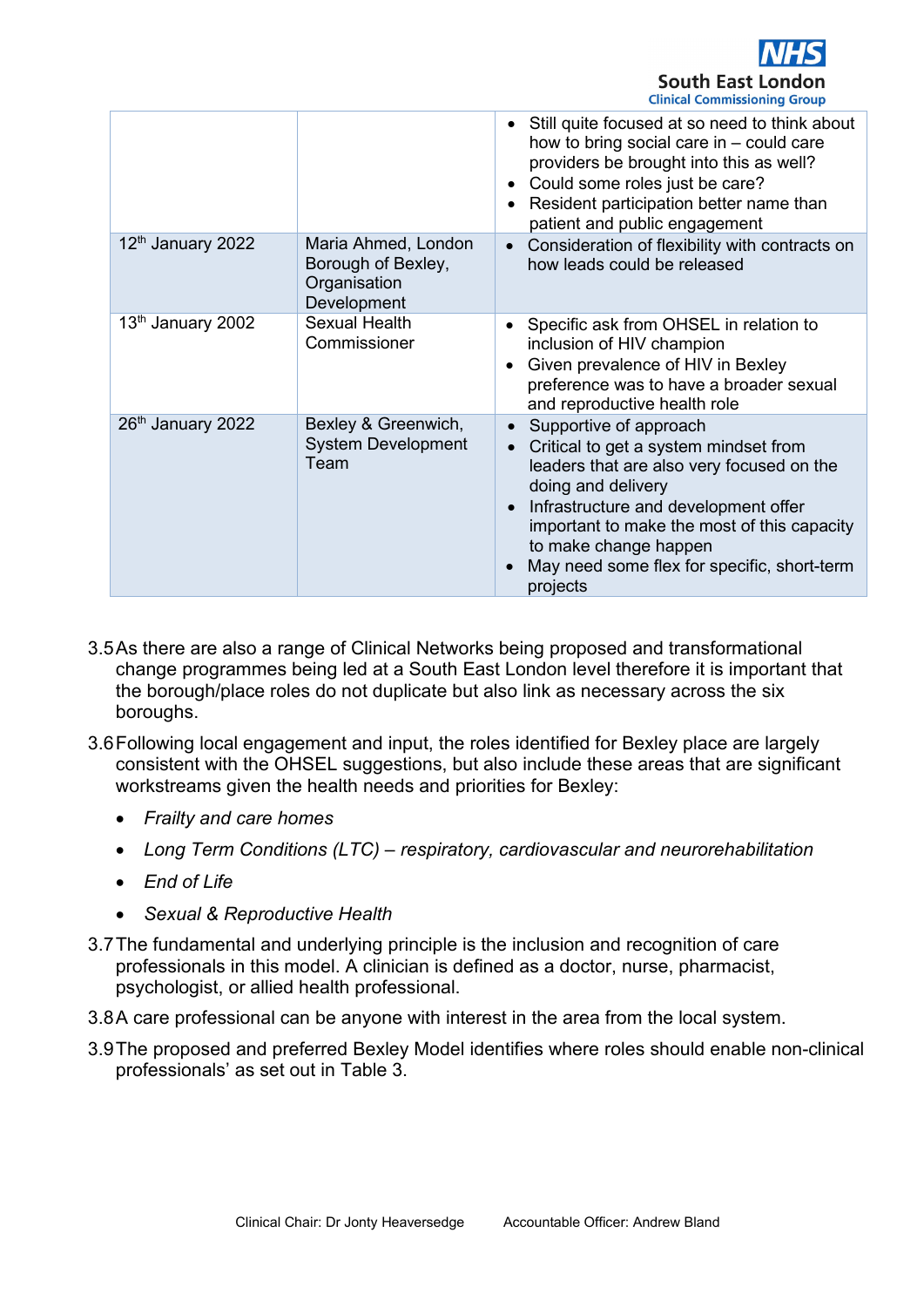

|                               |                                                                          | Still quite focused at so need to think about<br>$\bullet$<br>how to bring social care in $-$ could care<br>providers be brought into this as well?<br>Could some roles just be care?<br>$\bullet$<br>Resident participation better name than<br>patient and public engagement                                             |
|-------------------------------|--------------------------------------------------------------------------|----------------------------------------------------------------------------------------------------------------------------------------------------------------------------------------------------------------------------------------------------------------------------------------------------------------------------|
| 12 <sup>th</sup> January 2022 | Maria Ahmed, London<br>Borough of Bexley,<br>Organisation<br>Development | Consideration of flexibility with contracts on<br>$\bullet$<br>how leads could be released                                                                                                                                                                                                                                 |
| 13 <sup>th</sup> January 2002 | <b>Sexual Health</b><br>Commissioner                                     | Specific ask from OHSEL in relation to<br>$\bullet$<br>inclusion of HIV champion<br>Given prevalence of HIV in Bexley<br>$\bullet$<br>preference was to have a broader sexual<br>and reproductive health role                                                                                                              |
| 26th January 2022             | Bexley & Greenwich,<br><b>System Development</b><br>Team                 | Supportive of approach<br>Critical to get a system mindset from<br>leaders that are also very focused on the<br>doing and delivery<br>Infrastructure and development offer<br>$\bullet$<br>important to make the most of this capacity<br>to make change happen<br>May need some flex for specific, short-term<br>projects |

- 3.5As there are also a range of Clinical Networks being proposed and transformational change programmes being led at a South East London level therefore it is important that the borough/place roles do not duplicate but also link as necessary across the six boroughs.
- 3.6Following local engagement and input, the roles identified for Bexley place are largely consistent with the OHSEL suggestions, but also include these areas that are significant workstreams given the health needs and priorities for Bexley:
	- *Frailty and care homes*
	- *Long Term Conditions (LTC) – respiratory, cardiovascular and neurorehabilitation*
	- *End of Life*
	- *Sexual & Reproductive Health*
- 3.7The fundamental and underlying principle is the inclusion and recognition of care professionals in this model. A clinician is defined as a doctor, nurse, pharmacist, psychologist, or allied health professional.
- 3.8A care professional can be anyone with interest in the area from the local system.
- 3.9The proposed and preferred Bexley Model identifies where roles should enable non-clinical professionals' as set out in Table 3.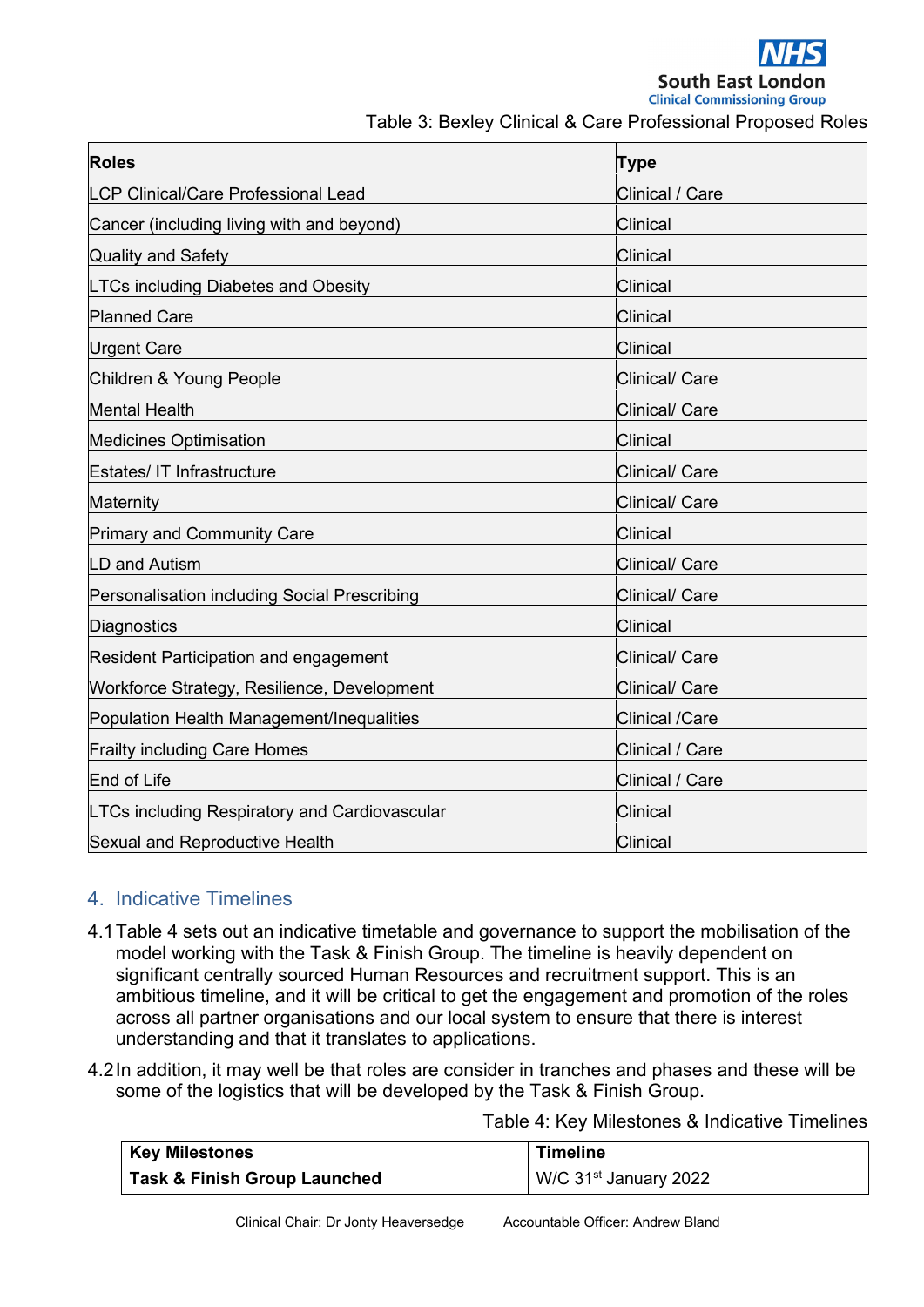

Table 3: Bexley Clinical & Care Professional Proposed Roles

| <b>Roles</b>                                         | <b>Type</b>           |
|------------------------------------------------------|-----------------------|
| <b>LCP Clinical/Care Professional Lead</b>           | Clinical / Care       |
| Cancer (including living with and beyond)            | <b>Clinical</b>       |
| <b>Quality and Safety</b>                            | Clinical              |
| <b>LTCs including Diabetes and Obesity</b>           | <b>Clinical</b>       |
| <b>Planned Care</b>                                  | <b>Clinical</b>       |
| <b>Urgent Care</b>                                   | <b>Clinical</b>       |
| Children & Young People                              | Clinical/ Care        |
| <b>Mental Health</b>                                 | Clinical/ Care        |
| <b>Medicines Optimisation</b>                        | <b>Clinical</b>       |
| <b>Estates/ IT Infrastructure</b>                    | <b>Clinical/ Care</b> |
| Maternity                                            | <b>Clinical/ Care</b> |
| <b>Primary and Community Care</b>                    | Clinical              |
| LD and Autism                                        | Clinical/ Care        |
| Personalisation including Social Prescribing         | <b>Clinical/ Care</b> |
| <b>Diagnostics</b>                                   | <b>Clinical</b>       |
| <b>Resident Participation and engagement</b>         | Clinical/ Care        |
| Workforce Strategy, Resilience, Development          | <b>Clinical/ Care</b> |
| Population Health Management/Inequalities            | <b>Clinical /Care</b> |
| <b>Frailty including Care Homes</b>                  | Clinical / Care       |
| End of Life                                          | Clinical / Care       |
| <b>LTCs including Respiratory and Cardiovascular</b> | <b>Clinical</b>       |
| <b>Sexual and Reproductive Health</b>                | <b>Clinical</b>       |

## 4. Indicative Timelines

- 4.1Table 4 sets out an indicative timetable and governance to support the mobilisation of the model working with the Task & Finish Group. The timeline is heavily dependent on significant centrally sourced Human Resources and recruitment support. This is an ambitious timeline, and it will be critical to get the engagement and promotion of the roles across all partner organisations and our local system to ensure that there is interest understanding and that it translates to applications.
- 4.2In addition, it may well be that roles are consider in tranches and phases and these will be some of the logistics that will be developed by the Task & Finish Group.

Table 4: Key Milestones & Indicative Timelines

| <b>Key Milestones</b>                   | <b>Timeline</b>                   |
|-----------------------------------------|-----------------------------------|
| <b>Task &amp; Finish Group Launched</b> | W/C 31 <sup>st</sup> January 2022 |